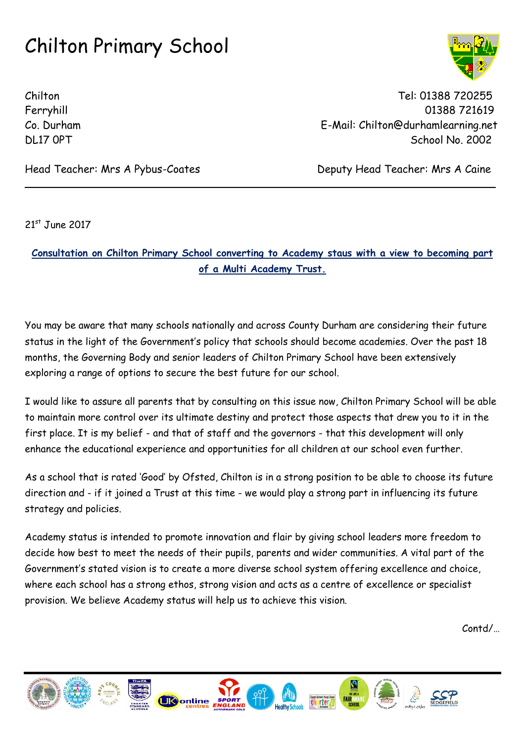## Chilton Primary School



Chilton Tel: 01388 720255 Ferryhill 01388 721619 Co. Durham E-Mail: Chilton@durhamlearning.net DL17 0PT School No. 2002

Head Teacher: Mrs A Pybus-Coates Deputy Head Teacher: Mrs A Caine

21<sup>st</sup> June 2017

## **Consultation on Chilton Primary School converting to Academy staus with a view to becoming part of a Multi Academy Trust.**

 $\_$  ,  $\_$  ,  $\_$  ,  $\_$  ,  $\_$  ,  $\_$  ,  $\_$  ,  $\_$  ,  $\_$  ,  $\_$  ,  $\_$  ,  $\_$  ,  $\_$  ,  $\_$  ,  $\_$  ,  $\_$  ,  $\_$  ,  $\_$  ,  $\_$  ,  $\_$  ,  $\_$  ,  $\_$  ,  $\_$  ,  $\_$  ,  $\_$  ,  $\_$  ,  $\_$  ,  $\_$  ,  $\_$  ,  $\_$  ,  $\_$  ,  $\_$  ,  $\_$  ,  $\_$  ,  $\_$  ,  $\_$  ,  $\_$  ,

You may be aware that many schools nationally and across County Durham are considering their future status in the light of the Government's policy that schools should become academies. Over the past 18 months, the Governing Body and senior leaders of Chilton Primary School have been extensively exploring a range of options to secure the best future for our school.

I would like to assure all parents that by consulting on this issue now, Chilton Primary School will be able to maintain more control over its ultimate destiny and protect those aspects that drew you to it in the first place. It is my belief - and that of staff and the governors - that this development will only enhance the educational experience and opportunities for all children at our school even further.

As a school that is rated 'Good' by Ofsted, Chilton is in a strong position to be able to choose its future direction and - if it joined a Trust at this time - we would play a strong part in influencing its future strategy and policies.

Academy status is intended to promote innovation and flair by giving school leaders more freedom to decide how best to meet the needs of their pupils, parents and wider communities. A vital part of the Government's stated vision is to create a more diverse school system offering excellence and choice, where each school has a strong ethos, strong vision and acts as a centre of excellence or specialist provision. We believe Academy status will help us to achieve this vision.

Contd/…

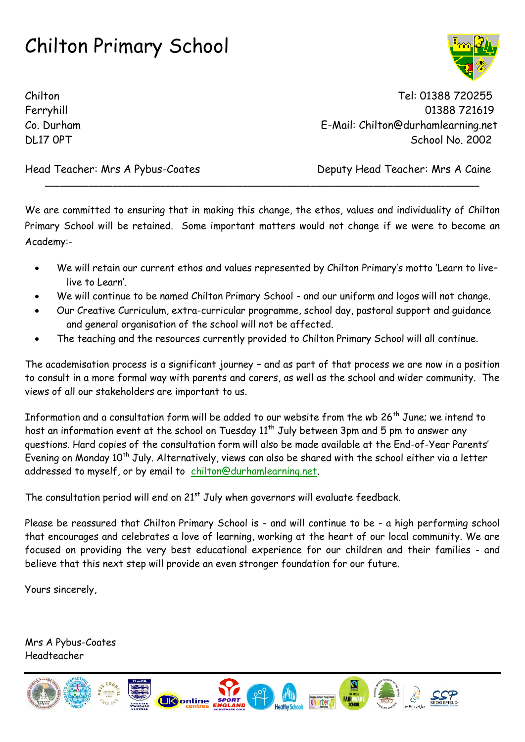## Chilton Primary School

Chilton Tel: 01388 720255 Ferryhill 01388 721619 Co. Durham E-Mail: Chilton@durhamlearning.net DL17 OPT School No. 2002

Head Teacher: Mrs A Pybus-Coates Deputy Head Teacher: Mrs A Caine

We are committed to ensuring that in making this change, the ethos, values and individuality of Chilton Primary School will be retained. Some important matters would not change if we were to become an Academy:-

**\_\_\_\_\_\_\_\_\_\_\_\_\_\_\_\_\_\_\_\_\_\_\_\_\_\_\_\_\_\_\_\_\_\_\_\_\_\_\_\_\_\_\_\_\_\_\_\_\_\_\_\_\_\_\_\_\_\_\_\_\_\_\_\_\_\_\_\_\_\_\_\_\_\_\_\_\_\_\_\_\_\_\_\_\_\_\_\_\_\_**

- We will retain our current ethos and values represented by Chilton Primary's motto 'Learn to live– live to Learn'.
- We will continue to be named Chilton Primary School and our uniform and logos will not change.
- Our Creative Curriculum, extra-curricular programme, school day, pastoral support and guidance and general organisation of the school will not be affected.
- The teaching and the resources currently provided to Chilton Primary School will all continue.

The academisation process is a significant journey – and as part of that process we are now in a position to consult in a more formal way with parents and carers, as well as the school and wider community. The views of all our stakeholders are important to us.

Information and a consultation form will be added to our website from the wb  $26<sup>th</sup>$  June; we intend to host an information event at the school on Tuesday 11<sup>th</sup> July between 3pm and 5 pm to answer any questions. Hard copies of the consultation form will also be made available at the End-of-Year Parents' Evening on Monday 10<sup>th</sup> July. Alternatively, views can also be shared with the school either via a letter addressed to myself, or by email to [chilton@durhamlearning.net.](mailto:chilton@durhamlearning.net)

The consultation period will end on 21<sup>st</sup> July when governors will evaluate feedback.

Please be reassured that Chilton Primary School is - and will continue to be - a high performing school that encourages and celebrates a love of learning, working at the heart of our local community. We are focused on providing the very best educational experience for our children and their families - and believe that this next step will provide an even stronger foundation for our future.

Yours sincerely,

Mrs A Pybus-Coates Headteacher